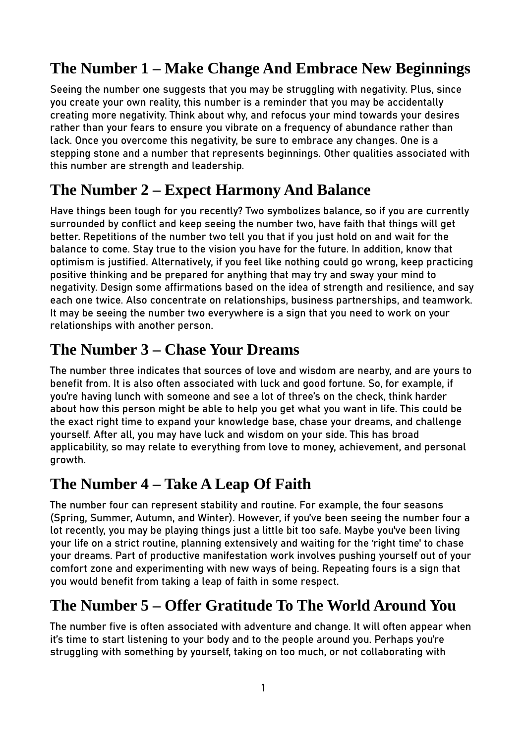# **The Number 1 – Make Change And Embrace New Beginnings**

Seeing the number one suggests that you may be struggling with negativity. Plus, since you create your own reality, this number is a reminder that you may be accidentally creating more negativity. Think about why, and refocus your mind towards your desires rather than your fears to ensure you vibrate on a frequency of abundance rather than lack. Once you overcome this negativity, be sure to embrace any changes. One is a stepping stone and a number that represents beginnings. Other qualities associated with this number are strength and leadership.

## **The Number 2 – Expect Harmony And Balance**

Have things been tough for you recently? Two symbolizes balance, so if you are currently surrounded by conflict and keep seeing the number two, have faith that things will get better. Repetitions of the number two tell you that if you just hold on and wait for the balance to come. Stay true to the vision you have for the future. In addition, know that optimism is justified. Alternatively, if you feel like nothing could go wrong, keep practicing positive thinking and be prepared for anything that may try and sway your mind to negativity. Design some affirmations based on the idea of strength and resilience, and say each one twice. Also concentrate on relationships, business partnerships, and teamwork. It may be seeing the number two everywhere is a sign that you need to work on your relationships with another person.

#### **The Number 3 – Chase Your Dreams**

The number three indicates that sources of love and wisdom are nearby, and are yours to benefit from. It is also often associated with luck and good fortune. So, for example, if you're having lunch with someone and see a lot of three's on the check, think harder about how this person might be able to help you get what you want in life. This could be the exact right time to expand your knowledge base, chase your dreams, and challenge yourself. After all, you may have luck and wisdom on your side. This has broad applicability, so may relate to everything from love to money, achievement, and personal growth.

#### **The Number 4 – Take A Leap Of Faith**

The number four can represent stability and routine. For example, the four seasons (Spring, Summer, Autumn, and Winter). However, if you've been seeing the number four a lot recently, you may be playing things just a little bit too safe. Maybe you've been living your life on a strict routine, planning extensively and waiting for the 'right time' to chase your dreams. Part of productive manifestation work involves pushing yourself out of your comfort zone and experimenting with new ways of being. Repeating fours is a sign that you would benefit from taking a leap of faith in some respect.

# **The Number 5 – Offer Gratitude To The World Around You**

The number five is often associated with adventure and change. It will often appear when it's time to start listening to your body and to the people around you. Perhaps you're struggling with something by yourself, taking on too much, or not collaborating with